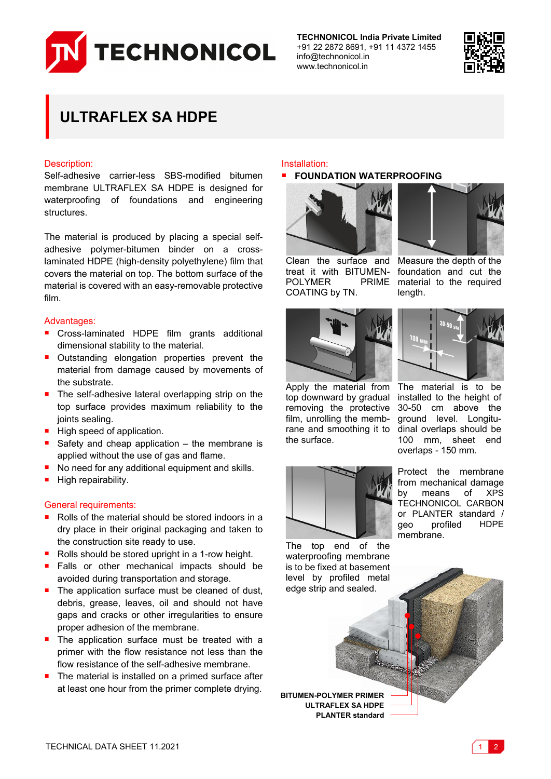

**TECHNONICOL India Private Limited** +91 22 2872 8691, +91 11 4372 1455 info@technonicol.in www.technonicol.in



# **ULTRAFLEX SA HDPE**

# Description:

Self-adhesive carrier-less SBS-modified bitumen membrane ULTRAFLEX SA HDPE is designed for waterproofing of foundations and engineering structures.

The material is produced by placing a special selfadhesive polymer-bitumen binder on a crosslaminated HDPE (high-density polyethylene) film that covers the material on top. The bottom surface of the material is covered with an easy-removable protective film.

# Advantages:

- Cross-laminated HDPE film grants additional dimensional stability to the material.
- **Outstanding elongation properties prevent the** material from damage caused by movements of the substrate.
- The self-adhesive lateral overlapping strip on the top surface provides maximum reliability to the joints sealing.
- $\blacksquare$  High speed of application.
- Safety and cheap application the membrane is applied without the use of gas and flame.
- No need for any additional equipment and skills.
- High repairability.

#### General requirements:

- Rolls of the material should be stored indoors in a dry place in their original packaging and taken to the construction site ready to use.
- Rolls should be stored upright in a 1-row height.
- Falls or other mechanical impacts should be avoided during transportation and storage.
- The application surface must be cleaned of dust, debris, grease, leaves, oil and should not have gaps and cracks or other irregularities to ensure proper adhesion of the membrane.
- The application surface must be treated with a primer with the flow resistance not less than the flow resistance of the self-adhesive membrane.
- The material is installed on a primed surface after at least one hour from the primer complete drying.<br>**BITUMEN-POLYMER PRIMER**

#### Installation:

#### **FOUNDATION WATERPROOFING**



treat it with BITUMEN-POLYMER COATING by TN.



Clean the surface and Measure the depth of the foundation and cut the PRIME material to the required length.



Apply the material from top downward by gradual removing the protective film, unrolling the membrane and smoothing it to dinal overlaps should be the surface.



The material is to be installed to the height of 30-50 cm above the ground level. Longitu-100 mm, sheet end overlaps - 150 mm.



Protect the membrane from mechanical damage by means of XPS TECHNONICOL CARBON or PLANTER standard / geo profiled HDPE membrane.

The top end of the waterproofing membrane is to be fixed at basement level by profiled metal edge strip and sealed.

**ULTRAFLEX SA HDPE PLANTER standard**